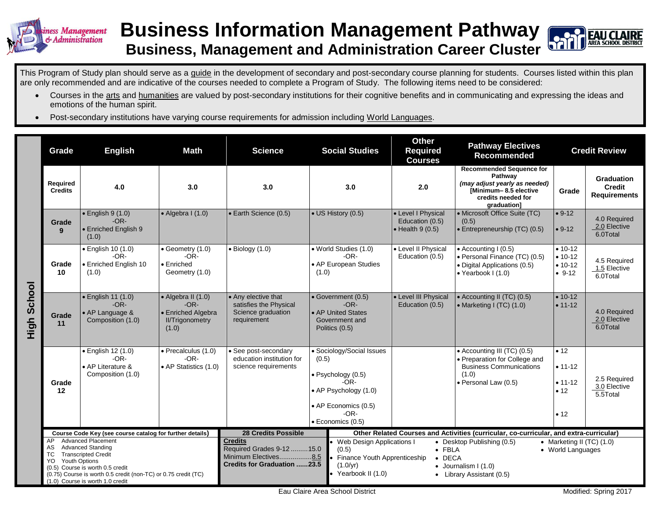

## **Business Information Management Pathway Business, Management and Administration Career Cluster**



This Program of Study plan should serve as a guide in the development of secondary and post-secondary course planning for students. Courses listed within this plan are only recommended and are indicative of the courses needed to complete a Program of Study. The following items need to be considered:

- Courses in the arts and humanities are valued by post-secondary institutions for their cognitive benefits and in communicating and expressing the ideas and emotions of the human spirit.
- Post-secondary institutions have varying course requirements for admission including World Languages.

|                | Grade                                        | <b>English</b><br><b>Math</b>                                                                                                                                                                                                                                                             |                                                                                               | <b>Science</b>                                                                                                                           | <b>Social Studies</b>                                                                                                                                    |                                                                                                                                                                                                                                                                                                                                                                                            | <b>Other</b><br><b>Required</b><br><b>Courses</b>                 | <b>Pathway Electives</b><br><b>Recommended</b>                                                                                            | <b>Credit Review</b>                               |                                                    |
|----------------|----------------------------------------------|-------------------------------------------------------------------------------------------------------------------------------------------------------------------------------------------------------------------------------------------------------------------------------------------|-----------------------------------------------------------------------------------------------|------------------------------------------------------------------------------------------------------------------------------------------|----------------------------------------------------------------------------------------------------------------------------------------------------------|--------------------------------------------------------------------------------------------------------------------------------------------------------------------------------------------------------------------------------------------------------------------------------------------------------------------------------------------------------------------------------------------|-------------------------------------------------------------------|-------------------------------------------------------------------------------------------------------------------------------------------|----------------------------------------------------|----------------------------------------------------|
|                | <b>Required</b><br><b>Credits</b>            | 4.0                                                                                                                                                                                                                                                                                       | 3.0                                                                                           | 3.0                                                                                                                                      | 3.0                                                                                                                                                      |                                                                                                                                                                                                                                                                                                                                                                                            | 2.0                                                               | <b>Recommended Sequence for</b><br>Pathway<br>(may adjust yearly as needed)<br>[Minimum-8.5 elective<br>credits needed for<br>graduation] | Grade                                              | Graduation<br><b>Credit</b><br><b>Requirements</b> |
| School<br>High | Grade<br>9                                   | $\bullet$ English 9 (1.0)<br>$-OR-$<br>• Enriched English 9<br>(1.0)                                                                                                                                                                                                                      | $\bullet$ Algebra I (1.0)                                                                     | • Earth Science (0.5)                                                                                                                    | • US History (0.5)                                                                                                                                       |                                                                                                                                                                                                                                                                                                                                                                                            | • Level I Physical<br>Education (0.5)<br>$\bullet$ Health 9 (0.5) | • Microsoft Office Suite (TC)<br>(0.5)<br>• Entrepreneurship (TC) (0.5)                                                                   | $• 9-12$<br>$• 9-12$                               | 4.0 Required<br>2.0 Elective<br>6.0Total           |
|                | Grade<br>10                                  | · English 10 (1.0)<br>$-OR-$<br>• Enriched English 10<br>(1.0)                                                                                                                                                                                                                            | $\bullet$ Geometry (1.0)<br>$-OR-$<br>$\bullet$ Enriched<br>Geometry (1.0)                    | $\bullet$ Biology (1.0)                                                                                                                  | • World Studies (1.0)<br>• AP European Studies<br>(1.0)                                                                                                  | $-OR-$                                                                                                                                                                                                                                                                                                                                                                                     | • Level II Physical<br>Education (0.5)                            | $\bullet$ Accounting I (0.5)<br>• Personal Finance (TC) (0.5)<br>• Digital Applications (0.5)<br>• Yearbook I (1.0)                       | $• 10-12$<br>$• 10-12$<br>$• 10-12$<br>$• 9-12$    | 4.5 Required<br>1.5 Elective<br>6.0Total           |
|                | Grade<br>11                                  | · English 11 (1.0)<br>$-OR-$<br>• AP Language &<br>Composition (1.0)                                                                                                                                                                                                                      | $\bullet$ Algebra II (1.0)<br>$-OR-$<br>• Enriched Algebra<br><b>II/Trigonometry</b><br>(1.0) | • Any elective that<br>satisfies the Physical<br>Science graduation<br>requirement                                                       | • Government (0.5)<br>• AP United States<br>Government and<br>Politics (0.5)                                                                             | $-OR-$                                                                                                                                                                                                                                                                                                                                                                                     | • Level III Physical<br>Education (0.5)                           | • Accounting II (TC) (0.5)<br>• Marketing I (TC) $(1.0)$                                                                                  | $• 10-12$<br>$• 11 - 12$                           | 4.0 Required<br>2.0 Elective<br>6.0Total           |
|                | Grade<br>12                                  | · English 12 (1.0)<br>$-OR-$<br>• AP Literature &<br>Composition (1.0)                                                                                                                                                                                                                    | · Precalculus (1.0)<br>-OR-<br>• AP Statistics (1.0)                                          | · See post-secondary<br>education institution for<br>science requirements                                                                | • Sociology/Social Issues<br>(0.5)<br>$\bullet$ Psychology (0.5)<br>-OR-<br>• AP Psychology (1.0)<br>• AP Economics (0.5)<br>$-OR-$<br>· Economics (0.5) |                                                                                                                                                                                                                                                                                                                                                                                            |                                                                   | • Accounting III (TC) (0.5)<br>• Preparation for College and<br><b>Business Communications</b><br>(1.0)<br>· Personal Law (0.5)           | • 12<br>$• 11 - 12$<br>$• 11 - 12$<br>• 12<br>• 12 | 2.5 Required<br>3.0 Elective<br>5.5Total           |
|                | AP<br>AS<br>TC<br><b>Youth Options</b><br>YO | Course Code Key (see course catalog for further details)<br><b>Advanced Placement</b><br><b>Advanced Standing</b><br><b>Transcripted Credit</b><br>(0.5) Course is worth 0.5 credit<br>(0.75) Course is worth 0.5 credit (non-TC) or 0.75 credit (TC)<br>(1.0) Course is worth 1.0 credit |                                                                                               | <b>28 Credits Possible</b><br><b>Credits</b><br>Required Grades 9-12  15.0<br>Minimum Electives8.5<br><b>Credits for Graduation 23.5</b> |                                                                                                                                                          | Other Related Courses and Activities (curricular, co-curricular, and extra-curricular)<br>• Desktop Publishing (0.5)<br>• Marketing II (TC) $(1.0)$<br>Web Design Applications I<br>(0.5)<br>$\bullet$ FBLA<br>• World Languages<br>Finance Youth Apprenticeship<br><b>DECA</b><br>$\bullet$<br>(1.0/yr)<br>$\bullet$ Journalism I (1.0)<br>Yearbook II (1.0)<br>• Library Assistant (0.5) |                                                                   |                                                                                                                                           |                                                    |                                                    |